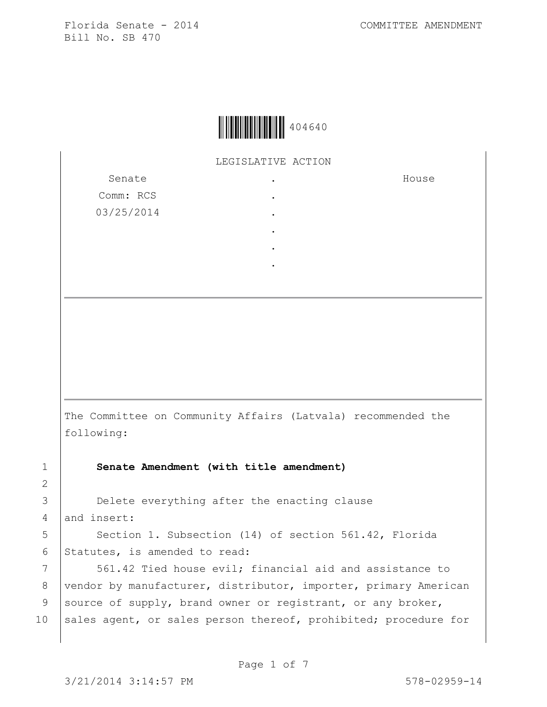

LEGISLATIVE ACTION .

> . .

Senate Comm: RCS 03/25/2014 House

- .
- .
- .

The Committee on Community Affairs (Latvala) recommended the following:

1 **Senate Amendment (with title amendment)**

3 **Delete everything after the enacting clause** 4 and insert:

5 | Section 1. Subsection (14) of section 561.42, Florida 6 Statutes, is amended to read:

7 | 561.42 Tied house evil; financial aid and assistance to 8 | vendor by manufacturer, distributor, importer, primary American 9 source of supply, brand owner or registrant, or any broker, 10 sales agent, or sales person thereof, prohibited; procedure for

2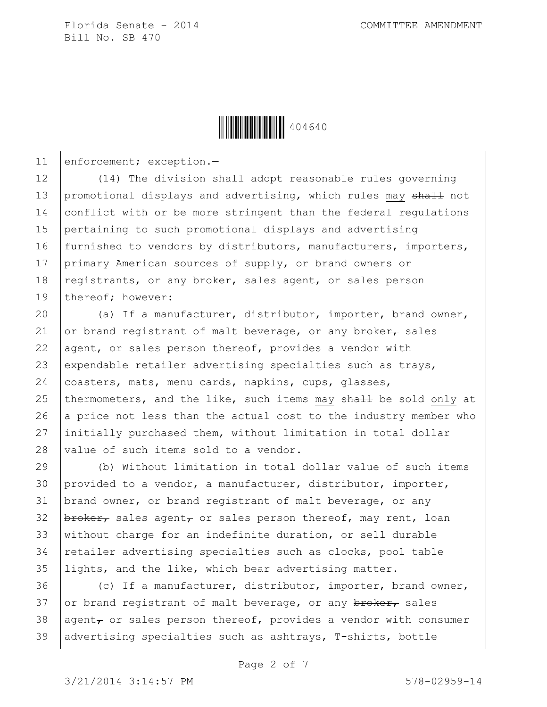

11 enforcement; exception.-

12 (14) The division shall adopt reasonable rules governing 13 promotional displays and advertising, which rules may shall not 14 conflict with or be more stringent than the federal regulations 15 pertaining to such promotional displays and advertising 16 furnished to vendors by distributors, manufacturers, importers, 17 primary American sources of supply, or brand owners or 18 registrants, or any broker, sales agent, or sales person 19 thereof; however:

20 (a) If a manufacturer, distributor, importer, brand owner, 21 or brand registrant of malt beverage, or any  $\frac{\partial^2 f}{\partial x^2}$  sales 22 agent<sub> $\tau$ </sub> or sales person thereof, provides a vendor with 23 expendable retailer advertising specialties such as trays, 24 coasters, mats, menu cards, napkins, cups, glasses, 25 thermometers, and the like, such items may shall be sold only at 26 a price not less than the actual cost to the industry member who 27 initially purchased them, without limitation in total dollar 28 *value of such items sold to a vendor.* 

29 (b) Without limitation in total dollar value of such items 30 provided to a vendor, a manufacturer, distributor, importer, 31 | brand owner, or brand registrant of malt beverage, or any 32  $\beta$ 33 without charge for an indefinite duration, or sell durable 34 retailer advertising specialties such as clocks, pool table 35 lights, and the like, which bear advertising matter.

36 (c) If a manufacturer, distributor, importer, brand owner, 37 or brand registrant of malt beverage, or any  $\frac{b}{b}$  reades 38 agent, or sales person thereof, provides a vendor with consumer 39  $|$  advertising specialties such as ashtrays, T-shirts, bottle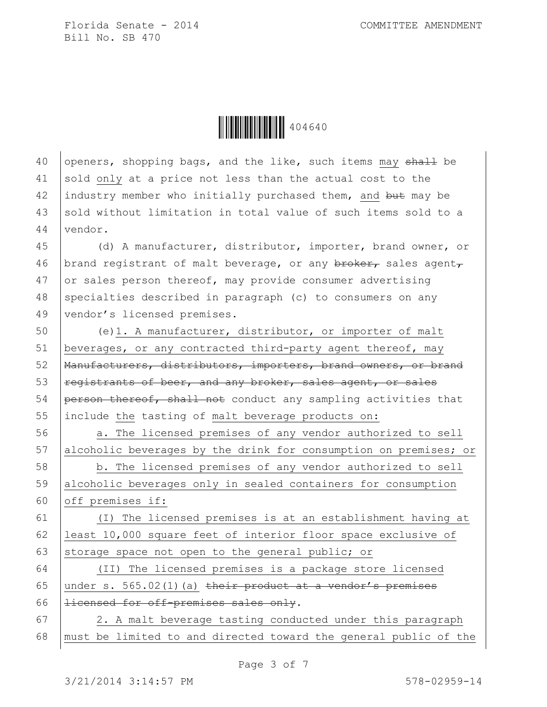Ì404640xÎ404640

40 openers, shopping bags, and the like, such items may shall be 41 sold only at a price not less than the actual cost to the 42 industry member who initially purchased them, and but may be 43 sold without limitation in total value of such items sold to a 44 vendor.

45 (d) A manufacturer, distributor, importer, brand owner, or 46 | brand registrant of malt beverage, or any  $\frac{b}{b}$  sales agent, 47 or sales person thereof, may provide consumer advertising 48 specialties described in paragraph (c) to consumers on any 49 vendor's licensed premises.

 (e)1. A manufacturer, distributor, or importer of malt beverages, or any contracted third-party agent thereof, may Manufacturers, distributors, importers, brand owners, or brand  $registrants of beer, and any broker, sales agent, or sales$  person thereof, shall not conduct any sampling activities that include the tasting of malt beverage products on:

56 a. The licensed premises of any vendor authorized to sell 57 alcoholic beverages by the drink for consumption on premises; or

58 b. The licensed premises of any vendor authorized to sell 59 alcoholic beverages only in sealed containers for consumption 60 off premises if:

61 (I) The licensed premises is at an establishment having at 62 least 10,000 square feet of interior floor space exclusive of 63 storage space not open to the general public; or

64 (II) The licensed premises is a package store licensed 65 | under s. 565.02(1)(a) their product at a vendor's premises 66  $|$  licensed for off-premises sales only.

 $67$  | 2. A malt beverage tasting conducted under this paragraph 68 must be limited to and directed toward the general public of the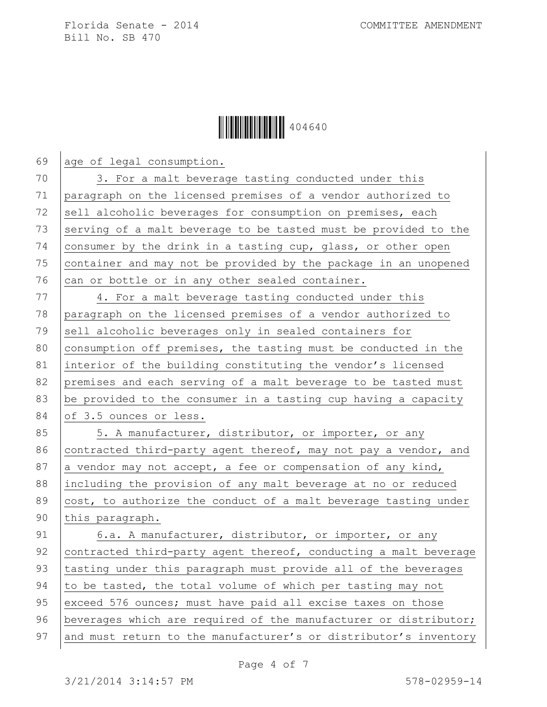## **iiiiiiiiiiiiiiiiiiiiiiiiiiii** 404640

69 age of legal consumption. 70 3. For a malt beverage tasting conducted under this 71 paragraph on the licensed premises of a vendor authorized to 72 sell alcoholic beverages for consumption on premises, each 73 serving of a malt beverage to be tasted must be provided to the 74 consumer by the drink in a tasting cup, glass, or other open 75 container and may not be provided by the package in an unopened  $76$  can or bottle or in any other sealed container.

77 4. For a malt beverage tasting conducted under this 78 paragraph on the licensed premises of a vendor authorized to 79 sell alcoholic beverages only in sealed containers for 80 consumption off premises, the tasting must be conducted in the 81 interior of the building constituting the vendor's licensed 82 premises and each serving of a malt beverage to be tasted must 83  $\vert$  be provided to the consumer in a tasting cup having a capacity 84 of 3.5 ounces or less.

85 | 5. A manufacturer, distributor, or importer, or any 86 contracted third-party agent thereof, may not pay a vendor, and 87 a vendor may not accept, a fee or compensation of any kind, 88 including the provision of any malt beverage at no or reduced 89  $\vert$  cost, to authorize the conduct of a malt beverage tasting under 90 this paragraph.

91 6.a. A manufacturer, distributor, or importer, or any 92 contracted third-party agent thereof, conducting a malt beverage 93 tasting under this paragraph must provide all of the beverages 94 to be tasted, the total volume of which per tasting may not 95 exceed 576 ounces; must have paid all excise taxes on those 96 beverages which are required of the manufacturer or distributor; 97 and must return to the manufacturer's or distributor's inventory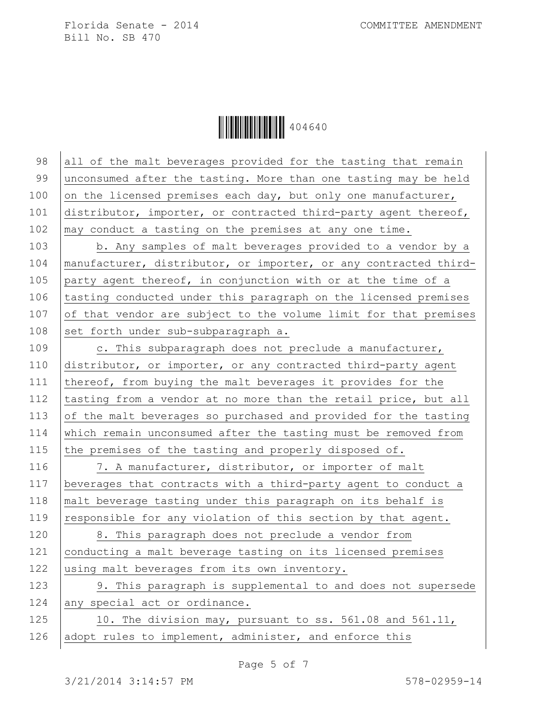Ì404640xÎ404640

98 all of the malt beverages provided for the tasting that remain 99 unconsumed after the tasting. More than one tasting may be held 100 on the licensed premises each day, but only one manufacturer, 101 distributor, importer, or contracted third-party agent thereof, 102 | may conduct a tasting on the premises at any one time.

103 b. Any samples of malt beverages provided to a vendor by a 104 | manufacturer, distributor, or importer, or any contracted third-105 party agent thereof, in conjunction with or at the time of a 106 tasting conducted under this paragraph on the licensed premises  $107$  of that vendor are subject to the volume limit for that premises 108 set forth under sub-subparagraph a.

109 c. This subparagraph does not preclude a manufacturer, 110 distributor, or importer, or any contracted third-party agent 111 thereof, from buying the malt beverages it provides for the 112 tasting from a vendor at no more than the retail price, but all 113 of the malt beverages so purchased and provided for the tasting 114 which remain unconsumed after the tasting must be removed from 115 the premises of the tasting and properly disposed of.

116 7. A manufacturer, distributor, or importer of malt 117 beverages that contracts with a third-party agent to conduct a 118  $\vert$  malt beverage tasting under this paragraph on its behalf is 119 responsible for any violation of this section by that agent.

120 | 8. This paragraph does not preclude a vendor from 121 conducting a malt beverage tasting on its licensed premises 122 using malt beverages from its own inventory.

123 9. This paragraph is supplemental to and does not supersede  $124$  any special act or ordinance.

125 10. The division may, pursuant to ss. 561.08 and 561.11, 126 adopt rules to implement, administer, and enforce this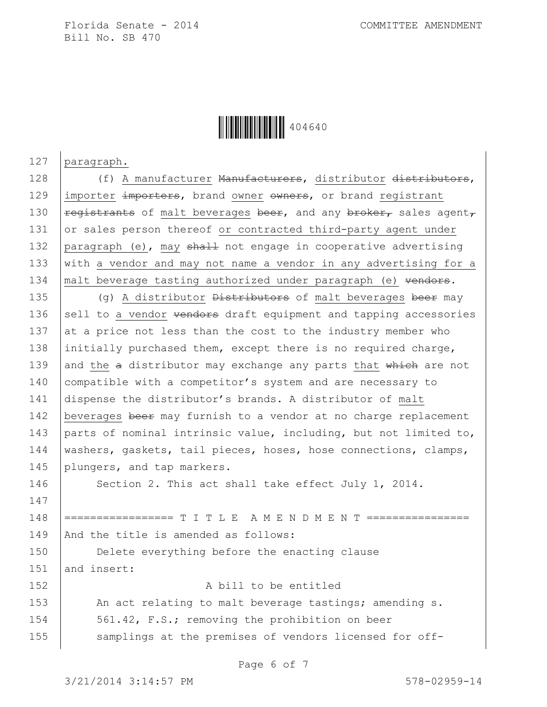

127 paragraph.

147

128 (f) A manufacturer Manufacturers, distributor distributors, 129 importer importers, brand owner owners, or brand registrant 130  $\vert$  registrants of malt beverages beer, and any broker, sales agent, 131 or sales person thereof or contracted third-party agent under 132 paragraph (e), may shall not engage in cooperative advertising 133 with a vendor and may not name a vendor in any advertising for a 134 | malt beverage tasting authorized under paragraph (e) vendors.

135  $(9)$  A distributor  $Distributors$  of malt beverages beer may 136 sell to a vendor  $\theta$  vendors draft equipment and tapping accessories 137 at a price not less than the cost to the industry member who 138 initially purchased them, except there is no required charge, 139 and the  $a$  distributor may exchange any parts that which are not 140 compatible with a competitor's system and are necessary to 141 dispense the distributor's brands. A distributor of malt 142 beverages beer may furnish to a vendor at no charge replacement 143 parts of nominal intrinsic value, including, but not limited to, 144 | washers, gaskets, tail pieces, hoses, hose connections, clamps, 145 plungers, and tap markers.

146 Section 2. This act shall take effect July 1, 2014.

148 ================= T I T L E A M E N D M E N T ================ 149 | And the title is amended as follows:

150 **Delete everything before the enacting clause** 151 and insert:

152 A bill to be entitled 153 An act relating to malt beverage tastings; amending s. 154 561.42, F.S.; removing the prohibition on beer 155 samplings at the premises of vendors licensed for off-

Page 6 of 7